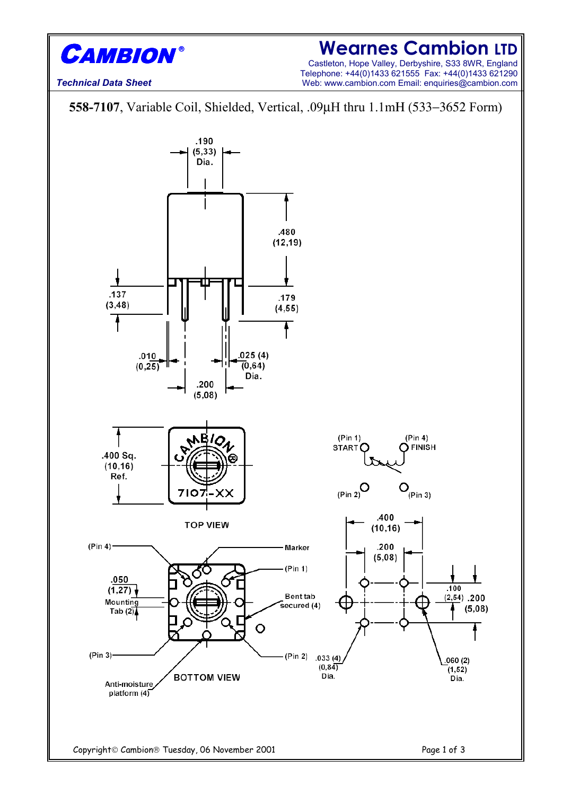

### **Wearnes Cambion LTD**

Castleton, Hope Valley, Derbyshire, S33 8WR, England Telephone: +44(0)1433 621555 Fax: +44(0)1433 621290 Web: www.cambion.com Email: enquiries@cambion.com

*Technical Data Sheet*

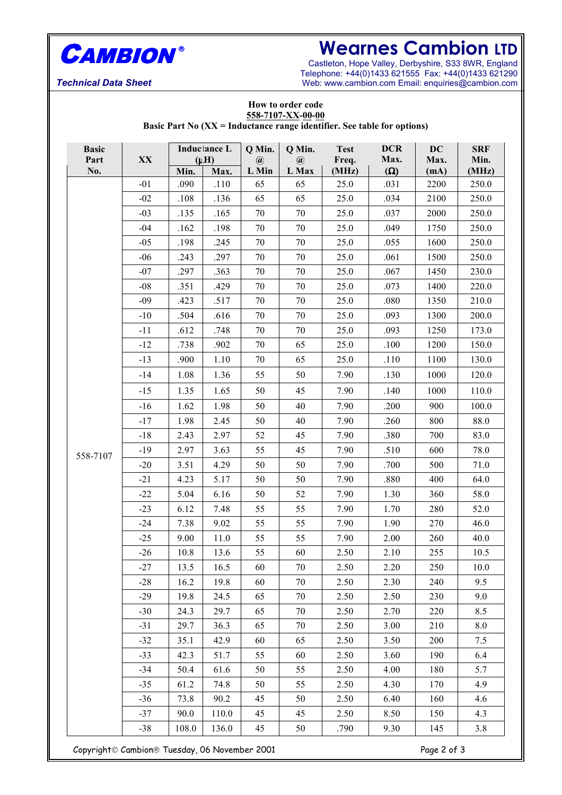![](_page_1_Picture_0.jpeg)

# **Wearnes Cambion LTD**

Castleton, Hope Valley, Derbyshire, S33 8WR, England Telephone: +44(0)1433 621555 Fax: +44(0)1433 621290 Web: www.cambion.com Email: enquiries@cambion.com

*Technical Data Sheet*

#### **How to order code 558-7107-XX-00-00 Basic Part No (XX = Inductance range identifier. See table for options)**

| <b>Basic</b> |       | <b>Inductance L</b> |                   | Q Min.                                           | Q Min.            | <b>Test</b>    | <b>DCR</b>         | DC           | <b>SRF</b>    |
|--------------|-------|---------------------|-------------------|--------------------------------------------------|-------------------|----------------|--------------------|--------------|---------------|
| Part<br>No.  | XX    | Min.                | $(\mu H)$<br>Max. | $\left(\widehat{\boldsymbol{a}}\right)$<br>L Min | $\omega$<br>L Max | Freq.<br>(MHz) | Max.<br>$(\Omega)$ | Max.<br>(mA) | Min.<br>(MHz) |
|              | $-01$ | .090                | .110              | 65                                               | 65                | 25.0           | .031               | 2200         | 250.0         |
|              | $-02$ | .108                | .136              | 65                                               | 65                | 25.0           | .034               | 2100         | 250.0         |
|              | $-03$ | .135                | .165              | 70                                               | 70                | 25.0           | .037               | 2000         | 250.0         |
|              | $-04$ | .162                | .198              | 70                                               | 70                | 25.0           | .049               | 1750         | 250.0         |
|              | $-05$ | .198                | .245              | 70                                               | 70                | 25.0           | .055               | 1600         | 250.0         |
|              | $-06$ | .243                | .297              | 70                                               | 70                | 25.0           | .061               | 1500         | 250.0         |
|              | $-07$ | .297                | .363              | 70                                               | 70                | 25.0           | .067               | 1450         | 230.0         |
|              | $-08$ | .351                | .429              | 70                                               | 70                | 25.0           | .073               | 1400         | 220.0         |
|              | $-09$ | .423                | .517              | 70                                               | 70                | 25.0           | .080               | 1350         | 210.0         |
|              | $-10$ | .504                | .616              | 70                                               | 70                | 25.0           | .093               | 1300         | 200.0         |
|              | $-11$ | .612                | .748              | 70                                               | 70                | 25.0           | .093               | 1250         | 173.0         |
|              | $-12$ | .738                | .902              | 70                                               | 65                | 25.0           | .100               | 1200         | 150.0         |
|              | $-13$ | .900                | 1.10              | 70                                               | 65                | 25.0           | .110               | 1100         | 130.0         |
|              | $-14$ | 1.08                | 1.36              | 55                                               | 50                | 7.90           | .130               | 1000         | 120.0         |
|              | $-15$ | 1.35                | 1.65              | 50                                               | 45                | 7.90           | .140               | 1000         | 110.0         |
|              | $-16$ | 1.62                | 1.98              | 50                                               | 40                | 7.90           | .200               | 900          | 100.0         |
|              | $-17$ | 1.98                | 2.45              | 50                                               | 40                | 7.90           | .260               | 800          | 88.0          |
|              | $-18$ | 2.43                | 2.97              | 52                                               | 45                | 7.90           | .380               | 700          | 83.0          |
|              | $-19$ | 2.97                | 3.63              | 55                                               | 45                | 7.90           | .510               | 600          | 78.0          |
| 558-7107     | $-20$ | 3.51                | 4.29              | 50                                               | 50                | 7.90           | .700               | 500          | 71.0          |
|              | $-21$ | 4.23                | 5.17              | 50                                               | 50                | 7.90           | .880               | 400          | 64.0          |
|              | $-22$ | 5.04                | 6.16              | 50                                               | 52                | 7.90           | 1.30               | 360          | 58.0          |
|              | $-23$ | 6.12                | 7.48              | 55                                               | 55                | 7.90           | 1.70               | 280          | 52.0          |
|              | $-24$ | 7.38                | 9.02              | 55                                               | 55                | 7.90           | 1.90               | 270          | 46.0          |
|              | $-25$ | 9.00                | 11.0              | 55                                               | 55                | 7.90           | 2.00               | 260          | 40.0          |
|              | $-26$ | 10.8                | 13.6              | 55                                               | 60                | 2.50           | 2.10               | 255          | 10.5          |
|              | $-27$ | 13.5                | 16.5              | 60                                               | 70                | 2.50           | 2.20               | 250          | 10.0          |
|              | $-28$ | 16.2                | 19.8              | 60                                               | 70                | 2.50           | 2.30               | 240          | 9.5           |
|              | $-29$ | 19.8                | 24.5              | 65                                               | 70                | 2.50           | 2.50               | 230          | 9.0           |
|              | $-30$ | 24.3                | 29.7              | 65                                               | 70                | 2.50           | 2.70               | 220          | 8.5           |
|              | $-31$ | 29.7                | 36.3              | 65                                               | 70                | 2.50           | 3.00               | 210          | 8.0           |
|              | $-32$ | 35.1                | 42.9              | 60                                               | 65                | 2.50           | 3.50               | 200          | 7.5           |
|              | $-33$ | 42.3                | 51.7              | 55                                               | 60                | 2.50           | 3.60               | 190          | 6.4           |
|              | $-34$ | 50.4                | 61.6              | 50                                               | 55                | 2.50           | 4.00               | 180          | 5.7           |
|              | $-35$ | 61.2                | 74.8              | 50                                               | 55                | 2.50           | 4.30               | 170          | 4.9           |
|              | $-36$ | 73.8                | 90.2              | 45                                               | 50                | 2.50           | 6.40               | 160          | 4.6           |
|              | $-37$ | 90.0                | 110.0             | 45                                               | 45                | 2.50           | 8.50               | 150          | 4.3           |
|              | $-38$ | 108.0               | 136.0             | 45                                               | 50                | .790           | 9.30               | 145          | 3.8           |

Copyright C Cambion ® Tuesday, 06 November 2001 Copyright C Cambion ® Tuesday, 06 November 2001